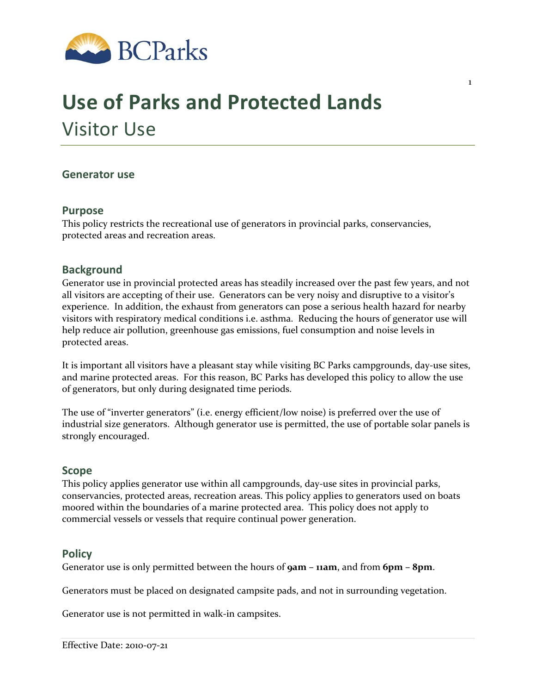

# **Use of Parks and Protected Lands** Visitor Use

## **Generator use**

#### **Purpose**

This policy restricts the recreational use of generators in provincial parks, conservancies, protected areas and recreation areas.

## **Background**

Generator use in provincial protected areas has steadily increased over the past few years, and not all visitors are accepting of their use. Generators can be very noisy and disruptive to a visitor's experience. In addition, the exhaust from generators can pose a serious health hazard for nearby visitors with respiratory medical conditions i.e. asthma. Reducing the hours of generator use will help reduce air pollution, greenhouse gas emissions, fuel consumption and noise levels in protected areas.

It is important all visitors have a pleasant stay while visiting BC Parks campgrounds, day‐use sites, and marine protected areas. For this reason, BC Parks has developed this policy to allow the use of generators, but only during designated time periods.

The use of "inverter generators" (i.e. energy efficient/low noise) is preferred over the use of industrial size generators. Although generator use is permitted, the use of portable solar panels is strongly encouraged.

#### **Scope**

This policy applies generator use within all campgrounds, day‐use sites in provincial parks, conservancies, protected areas, recreation areas. This policy applies to generators used on boats moored within the boundaries of a marine protected area. This policy does not apply to commercial vessels or vessels that require continual power generation.

## **Policy**

Generator use is only permitted between the hours of **9am – 11am**, and from **6pm – 8pm**.

Generators must be placed on designated campsite pads, and not in surrounding vegetation.

Generator use is not permitted in walk‐in campsites.